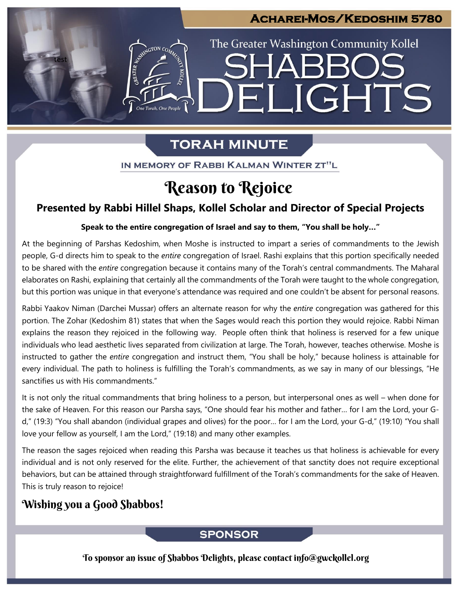## **Acharei-Mos/Kedoshim 5780**

ELIGHTS

The Greater Washington Community Kollel

# **TORAH MINUTE**

One Torah, One People

IN MEMORY OF RABBI KALMAN WINTER ZT"L

## Reason to Rejoice

### **Presented by Rabbi Hillel Shaps, Kollel Scholar and Director of Special Projects**

## **Speak to the entire congregation of Israel and say to them, "You shall be holy…" From our archives**

At the beginning of Parshas Kedoshim, when Moshe is instructed to impart a series of commandments to the Jewish people, G-d directs him to speak to the *entire* congregation of Israel. Rashi explains that this portion specifically needed to be shared with the *entire* congregation because it contains many of the Torah's central commandments. The Maharal elaborates on Rashi, explaining that certainly all the commandments of the Torah were taught to the whole congregation, but this portion was unique in that everyone's attendance was required and one couldn't be absent for personal reasons.

Rabbi Yaakov Niman (Darchei Mussar) offers an alternate reason for why the *entire* congregation was gathered for this portion. The Zohar (Kedoshim 81) states that when the Sages would reach this portion they would rejoice. Rabbi Niman explains the reason they rejoiced in the following way. People often think that holiness is reserved for a few unique individuals who lead aesthetic lives separated from civilization at large. The Torah, however, teaches otherwise. Moshe is instructed to gather the *entire* congregation and instruct them, "You shall be holy," because holiness is attainable for every individual. The path to holiness is fulfilling the Torah's commandments, as we say in many of our blessings, "He sanctifies us with His commandments."

It is not only the ritual commandments that bring holiness to a person, but interpersonal ones as well – when done for the sake of Heaven. For this reason our Parsha says, "One should fear his mother and father… for I am the Lord, your Gd," (19:3) "You shall abandon (individual grapes and olives) for the poor… for I am the Lord, your G-d," (19:10) "You shall love your fellow as yourself, I am the Lord," (19:18) and many other examples.

The reason the sages rejoiced when reading this Parsha was because it teaches us that holiness is achievable for every individual and is not only reserved for the elite. Further, the achievement of that sanctity does not require exceptional behaviors, but can be attained through straightforward fulfillment of the Torah's commandments for the sake of Heaven. This is truly reason to rejoice!

## Wishing you a Good Shabbos!

test

### **SPONSOR**

To sponsor an issue of Shabbos Delights, please contact info@gwckollel.org